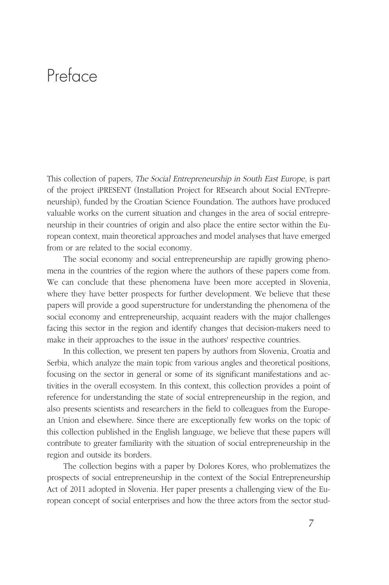## Preface

This collection of papers, The Social Entrepreneurship in South East Europe, is part of the project iPRESENT (Installation Project for REsearch about Social ENTrepreneurship), funded by the Croatian Science Foundation. The authors have produced valuable works on the current situation and changes in the area of social entrepreneurship in their countries of origin and also place the entire sector within the European context, main theoretical approaches and model analyses that have emerged from or are related to the social economy.

The social economy and social entrepreneurship are rapidly growing phenomena in the countries of the region where the authors of these papers come from. We can conclude that these phenomena have been more accepted in Slovenia, where they have better prospects for further development. We believe that these papers will provide a good superstructure for understanding the phenomena of the social economy and entrepreneurship, acquaint readers with the major challenges facing this sector in the region and identify changes that decision-makers need to make in their approaches to the issue in the authors' respective countries.

In this collection, we present ten papers by authors from Slovenia, Croatia and Serbia, which analyze the main topic from various angles and theoretical positions, focusing on the sector in general or some of its significant manifestations and activities in the overall ecosystem. In this context, this collection provides a point of reference for understanding the state of social entrepreneurship in the region, and also presents scientists and researchers in the field to colleagues from the European Union and elsewhere. Since there are exceptionally few works on the topic of this collection published in the English language, we believe that these papers will contribute to greater familiarity with the situation of social entrepreneurship in the region and outside its borders.

The collection begins with a paper by Dolores Kores, who problematizes the prospects of social entrepreneurship in the context of the Social Entrepreneurship Act of 2011 adopted in Slovenia. Her paper presents a challenging view of the European concept of social enterprises and how the three actors from the sector stud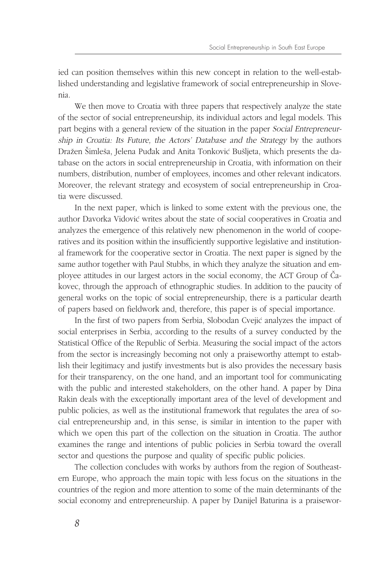ied can position themselves within this new concept in relation to the well-established understanding and legislative framework of social entrepreneurship in Slovenia.

We then move to Croatia with three papers that respectively analyze the state of the sector of social entrepreneurship, its individual actors and legal models. This part begins with a general review of the situation in the paper Social Entrepreneurship in Croatia: Its Future, the Actors' Database and the Strategy by the authors Dražen Šimleša, Jelena Puđak and Anita Tonković Bušljeta, which presents the database on the actors in social entrepreneurship in Croatia, with information on their numbers, distribution, number of employees, incomes and other relevant indicators. Moreover, the relevant strategy and ecosystem of social entrepreneurship in Croatia were discussed.

In the next paper, which is linked to some extent with the previous one, the author Davorka Vidović writes about the state of social cooperatives in Croatia and analyzes the emergence of this relatively new phenomenon in the world of cooperatives and its position within the insufficiently supportive legislative and institutional framework for the cooperative sector in Croatia. The next paper is signed by the same author together with Paul Stubbs, in which they analyze the situation and employee attitudes in our largest actors in the social economy, the ACT Group of Čakovec, through the approach of ethnographic studies. In addition to the paucity of general works on the topic of social entrepreneurship, there is a particular dearth of papers based on fieldwork and, therefore, this paper is of special importance.

In the first of two papers from Serbia, Slobodan Cvejić analyzes the impact of social enterprises in Serbia, according to the results of a survey conducted by the Statistical Office of the Republic of Serbia. Measuring the social impact of the actors from the sector is increasingly becoming not only a praiseworthy attempt to establish their legitimacy and justify investments but is also provides the necessary basis for their transparency, on the one hand, and an important tool for communicating with the public and interested stakeholders, on the other hand. A paper by Dina Rakin deals with the exceptionally important area of the level of development and public policies, as well as the institutional framework that regulates the area of social entrepreneurship and, in this sense, is similar in intention to the paper with which we open this part of the collection on the situation in Croatia. The author examines the range and intentions of public policies in Serbia toward the overall sector and questions the purpose and quality of specific public policies.

The collection concludes with works by authors from the region of Southeastern Europe, who approach the main topic with less focus on the situations in the countries of the region and more attention to some of the main determinants of the social economy and entrepreneurship. A paper by Danijel Baturina is a praisewor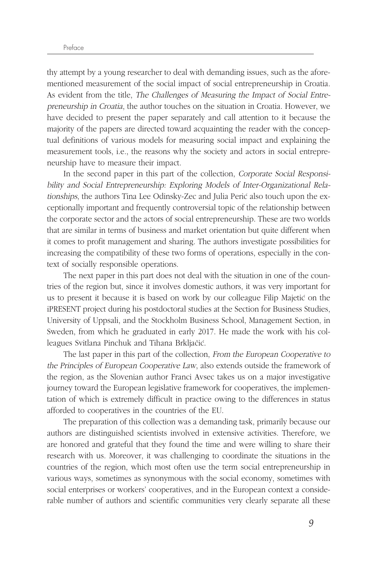thy attempt by a young researcher to deal with demanding issues, such as the aforementioned measurement of the social impact of social entrepreneurship in Croatia. As evident from the title, The Challenges of Measuring the Impact of Social Entrepreneurship in Croatia, the author touches on the situation in Croatia. However, we have decided to present the paper separately and call attention to it because the majority of the papers are directed toward acquainting the reader with the conceptual definitions of various models for measuring social impact and explaining the measurement tools, i.e., the reasons why the society and actors in social entrepreneurship have to measure their impact.

In the second paper in this part of the collection, Corporate Social Responsibility and Social Entrepreneurship: Exploring Models of Inter-Organizational Relationships, the authors Tina Lee Odinsky-Zec and Julia Perić also touch upon the exceptionally important and frequently controversial topic of the relationship between the corporate sector and the actors of social entrepreneurship. These are two worlds that are similar in terms of business and market orientation but quite different when it comes to profit management and sharing. The authors investigate possibilities for increasing the compatibility of these two forms of operations, especially in the context of socially responsible operations.

The next paper in this part does not deal with the situation in one of the countries of the region but, since it involves domestic authors, it was very important for us to present it because it is based on work by our colleague Filip Majetic on the iPRESENT project during his postdoctoral studies at the Section for Business Studies, University of Uppsali, and the Stockholm Business School, Management Section, in Sweden, from which he graduated in early 2017. He made the work with his colleagues Svitlana Pinchuk and Tihana Brkljačić.

The last paper in this part of the collection, From the European Cooperative to the Principles of European Cooperative Law, also extends outside the framework of the region, as the Slovenian author Franci Avsec takes us on a major investigative journey toward the European legislative framework for cooperatives, the implementation of which is extremely difficult in practice owing to the differences in status afforded to cooperatives in the countries of the EU.

The preparation of this collection was a demanding task, primarily because our authors are distinguished scientists involved in extensive activities. Therefore, we are honored and grateful that they found the time and were willing to share their research with us. Moreover, it was challenging to coordinate the situations in the countries of the region, which most often use the term social entrepreneurship in various ways, sometimes as synonymous with the social economy, sometimes with social enterprises or workers' cooperatives, and in the European context a considerable number of authors and scientific communities very clearly separate all these